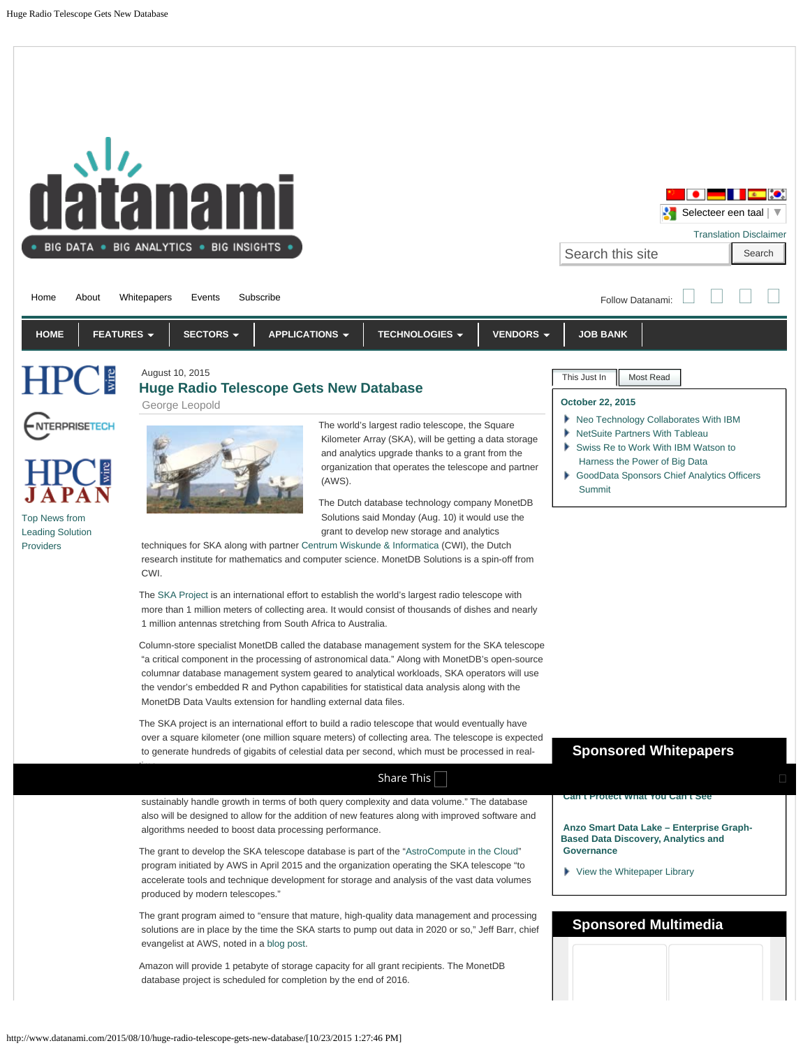<span id="page-0-1"></span><span id="page-0-0"></span>